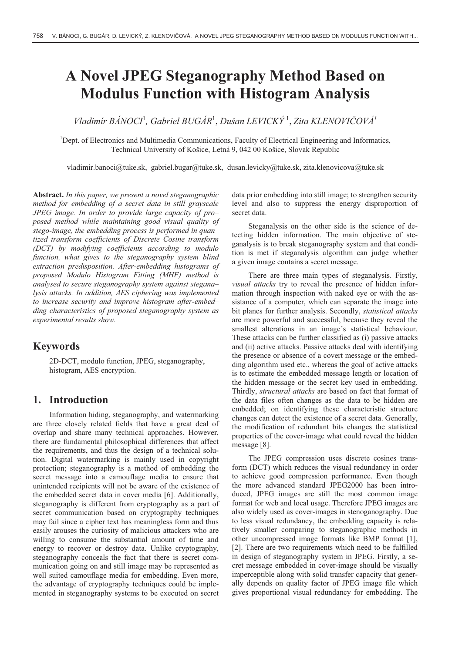# **A Novel JPEG Steganography Method Based on Modulus Function with Histogram Analysis**

*Vladimír BÁNOCI*<sup>1</sup> *, Gabriel BUGÁR*<sup>1</sup> , *Dušan LEVICKÝ* <sup>1</sup> , *Zita KLENOVIČOVÁ<sup>1</sup>*

<sup>1</sup>Dept. of Electronics and Multimedia Communications, Faculty of Electrical Engineering and Informatics, Technical University of Košice, Letná 9, 042 00 Košice, Slovak Republic

vladimir.banoci@tuke.sk, gabriel.bugar@tuke.sk, dusan.levicky@tuke.sk, zita.klenovicova@tuke.sk

**Abstract.** *In this paper, we present a novel steganographic method for embedding of a secret data in still grayscale JPEG image. In order to provide large capacity of pro– posed method while maintaining good visual quality of stego-image, the embedding process is performed in quan– tized transform coefficients of Discrete Cosine transform (DCT) by modifying coefficients according to modulo function, what gives to the steganography system blind extraction predisposition. After-embedding histograms of proposed Modulo Histogram Fitting (MHF) method is analysed to secure steganography system against stegana– lysis attacks. In addition, AES ciphering was implemented to increase security and improve histogram after-embed– ding characteristics of proposed steganography system as experimental results show.* 

### **Keywords**

2D-DCT, modulo function, JPEG, steganography, histogram, AES encryption.

### **1. Introduction**

Information hiding, steganography, and watermarking are three closely related fields that have a great deal of overlap and share many technical approaches. However, there are fundamental philosophical differences that affect the requirements, and thus the design of a technical solution. Digital watermarking is mainly used in copyright protection; steganography is a method of embedding the secret message into a camouflage media to ensure that unintended recipients will not be aware of the existence of the embedded secret data in cover media [6]. Additionally, steganography is different from cryptography as a part of secret communication based on cryptography techniques may fail since a cipher text has meaningless form and thus easily arouses the curiosity of malicious attackers who are willing to consume the substantial amount of time and energy to recover or destroy data. Unlike cryptography, steganography conceals the fact that there is secret communication going on and still image may be represented as well suited camouflage media for embedding. Even more, the advantage of cryptography techniques could be implemented in steganography systems to be executed on secret

data prior embedding into still image; to strengthen security level and also to suppress the energy disproportion of secret data.

Steganalysis on the other side is the science of detecting hidden information. The main objective of steganalysis is to break steganography system and that condition is met if steganalysis algorithm can judge whether a given image contains a secret message.

There are three main types of steganalysis. Firstly, *visual attacks* try to reveal the presence of hidden information through inspection with naked eye or with the assistance of a computer, which can separate the image into bit planes for further analysis. Secondly, *statistical attacks* are more powerful and successful, because they reveal the smallest alterations in an image´s statistical behaviour. These attacks can be further classified as (i) passive attacks and (ii) active attacks. Passive attacks deal with identifying the presence or absence of a covert message or the embedding algorithm used etc., whereas the goal of active attacks is to estimate the embedded message length or location of the hidden message or the secret key used in embedding. Thirdly, *structural attacks* are based on fact that format of the data files often changes as the data to be hidden are embedded; on identifying these characteristic structure changes can detect the existence of a secret data. Generally, the modification of redundant bits changes the statistical properties of the cover-image what could reveal the hidden message [8].

The JPEG compression uses discrete cosines transform (DCT) which reduces the visual redundancy in order to achieve good compression performance. Even though the more advanced standard JPEG2000 has been introduced, JPEG images are still the most common image format for web and local usage. Therefore JPEG images are also widely used as cover-images in stenoganography. Due to less visual redundancy, the embedding capacity is relatively smaller comparing to steganographic methods in other uncompressed image formats like BMP format [1], [2]. There are two requirements which need to be fulfilled in design of steganography system in JPEG. Firstly, a secret message embedded in cover-image should be visually imperceptible along with solid transfer capacity that generally depends on quality factor of JPEG image file which gives proportional visual redundancy for embedding. The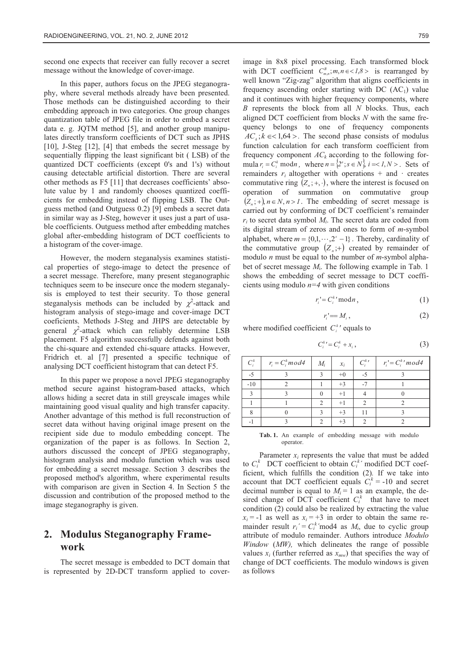second one expects that receiver can fully recover a secret message without the knowledge of cover-image.

In this paper, authors focus on the JPEG steganography, where several methods already have been presented. Those methods can be distinguished according to their embedding approach in two categories. One group changes quantization table of JPEG file in order to embed a secret data e. g. JQTM method [5], and another group manipulates directly transform coefficients of DCT such as JPHS [10], J-Steg [12], [4] that embeds the secret message by sequentially flipping the least significant bit ( LSB) of the quantized DCT coefficients (except 0's and 1's) without causing detectable artificial distortion. There are several other methods as F5 [11] that decreases coefficients' absolute value by 1 and randomly chooses quantized coefficients for embedding instead of flipping LSB. The Outguess method (and Outguess 0.2) [9] embeds a secret data in similar way as J-Steg, however it uses just a part of usable coefficients. Outguess method after embedding matches global after-embedding histogram of DCT coefficients to a histogram of the cover-image.

However, the modern steganalysis examines statistical properties of stego-image to detect the presence of a secret message. Therefore, many present steganographic techniques seem to be insecure once the modern steganalysis is employed to test their security. To those general steganalysis methods can be included by  $\chi^2$ -attack and histogram analysis of stego-image and cover-image DCT coeficients. Methods J-Steg and JHPS are detectable by general  $\chi^2$ -attack which can reliably determine LSB placement. F5 algorithm successfully defends against both the chi-square and extended chi-square attacks. However, Fridrich et. al [7] presented a specific technique of analysing DCT coefficient histogram that can detect F5.

In this paper we propose a novel JPEG steganography method secure against histogram-based attacks, which allows hiding a secret data in still greyscale images while maintaining good visual quality and high transfer capacity. Another advantage of this method is full reconstruction of secret data without having original image present on the recipient side due to modulo embedding concept. The organization of the paper is as follows. In Section 2, authors discussed the concept of JPEG steganography, histogram analysis and modulo function which was used for embedding a secret message. Section 3 describes the proposed method's algorithm, where experimental results with comparison are given in Section 4. In Section 5 the discussion and contribution of the proposed method to the image steganography is given.

## **2. Modulus Steganography Framework**

The secret message is embedded to DCT domain that is represented by 2D-DCT transform applied to cover-

image in 8x8 pixel processing. Each transformed block with DCT coefficient  $C_{m,n}^B$ ;  $m, n \in \{1,8\}$  is rearranged by well known "Zig-zag" algorithm that aligns coefficients in frequency ascending order starting with DC  $(AC<sub>1</sub>)$  value and it continues with higher frequency components, where *B* represents the block from all *N* blocks. Thus, each aligned DCT coefficient from blocks *N* with the same frequency belongs to one of frequency components  $AC_k$ ;  $k \in \{1,64\}$ . The second phase consists of modulus function calculation for each transform coefficient from frequency component  $AC_k$  according to the following formula  $r_i = C_i^k \text{ mod } n$ , where  $n = \{2^s; s \in N\}$ ,  $i = <1, N>$ . Sets of remainders  $r_i$  altogether with operations + and  $\cdot$  creates commutative ring  $(Z_n; +, \cdot)$ , where the interest is focused on operation of summation on commutative group  $(Z_n; +)$ ,  $n \in N, n > 1$ . The embedding of secret message is carried out by conforming of DCT coefficient's remainder  $r_i$  to secret data symbol  $M_i$ . The secret data are coded from its digital stream of zeros and ones to form of *m*-symbol alphabet, where  $m = \{0, 1, \dots, 2^s - 1\}$ . Thereby, cardinality of the commutative group  $(Z_n;+)$  created by remainder of modulo *n* must be equal to the number of *m*-symbol alphabet of secret message *M*i. The following example in Tab. 1 shows the embedding of secret message to DCT coefficients using modulo  $n=4$  with given conditions

$$
r_i' = C_i^{k'} \mod n \,, \tag{1}
$$

$$
r_i' = M_i, \tag{2}
$$

where modified coefficient  $C_i^k$ ' equals to

$$
C_i^k = C_i^k + x_i, \qquad (3)
$$

| $C_i^k$ | $r_i = C_i^k$ mod4 | $M_i$         | $x_i$ | $C_i^{k}$     | $r_i' = C_i^k' \mod 4$ |
|---------|--------------------|---------------|-------|---------------|------------------------|
| $-5$    |                    | $\mathcal{R}$ | $+0$  | $-5$          |                        |
| $-10$   | $\mathcal{D}$      |               | $+3$  | $-7$          |                        |
| 3       |                    |               | $+1$  |               |                        |
|         |                    | $\mathcal{D}$ | $+1$  | $\mathcal{D}$ |                        |
| 8       |                    | $\mathcal{R}$ | $+3$  | 11            |                        |
| $-1$    |                    | $\mathcal{D}$ | $+3$  | $\mathcal{D}$ |                        |

**Tab. 1.** An example of embedding message with modulo operator.

Parameter  $x_i$  represents the value that must be added to  $C_i^k$  DCT coefficient to obtain  $C_i^k$ ' modified DCT coefficient, which fulfills the condition (2)*.* If we take into account that DCT coefficient equals  $C_i^k = -10$  and secret decimal number is equal to  $M_i = 1$  as an example, the desired change of DCT coefficient  $C_i^k$  that have to meet condition (2) could also be realized by extracting the value  $x_i = -1$  as well as  $x_i = +3$  in order to obtain the same remainder result  $r_i' = C_i^k \text{ 'mod4}$  as  $M_i$ , due to cyclic group attribute of modulo remainder. Authors introduce *Modulo Window* (*MW),* which delineates the range of possible values  $x_i$  (further referred as  $x_{mw}$ ) that specifies the way of change of DCT coefficients. The modulo windows is given as follows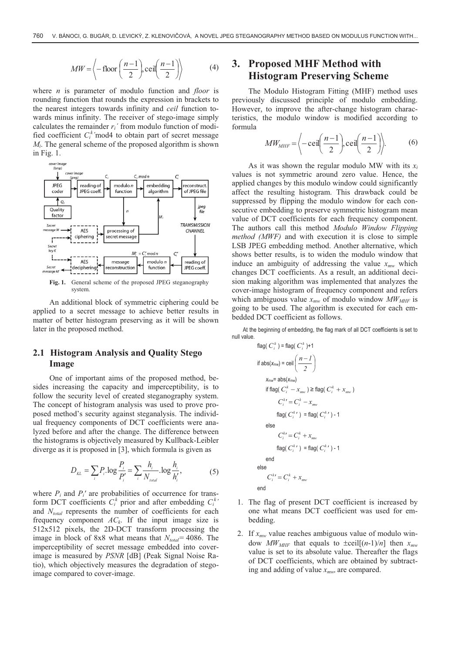$$
MW = \left\langle -\text{floor}\left(\frac{n-1}{2}\right), \text{ceil}\left(\frac{n-1}{2}\right) \right\rangle \tag{4}
$$

where *n* is parameter of modulo function and *floor* is rounding function that rounds the expression in brackets to the nearest integers towards infinity and *ceil* function towards minus infinity. The receiver of stego-image simply calculates the remainder  $r_i'$  from modulo function of modified coefficient  $C_i^k$ 'mod4 to obtain part of secret message *Mi*. The general scheme of the proposed algorithm is shown in Fig. 1.



**Fig. 1.** General scheme of the proposed JPEG steganography system.

An additional block of symmetric ciphering could be applied to a secret message to achieve better results in matter of better histogram preserving as it will be shown later in the proposed method.

### **2.1 Histogram Analysis and Quality Stego Image**

One of important aims of the proposed method, besides increasing the capacity and imperceptibility, is to follow the security level of created steganography system. The concept of histogram analysis was used to prove proposed method's security against steganalysis. The individual frequency components of DCT coefficients were analyzed before and after the change. The difference between the histograms is objectively measured by Kullback-Leibler diverge as it is proposed in [3], which formula is given as

$$
D_{_{KL}} = \sum_{i} P_{i} \cdot \log \frac{P_{i}}{P'_{i}} = \sum_{i} \frac{h_{i}}{N_{_{total}}} \cdot \log \frac{h_{i}}{h'_{i}},
$$
 (5)

where  $P_i$  and  $P_i'$  are probabilities of occurrence for transform DCT coefficients  $C_i^k$  prior and after embedding  $C_i^k$ <sup>,</sup> and *Ntotal* represents the number of coefficients for each frequency component  $AC_k$ . If the input image size is 512x512 pixels, the 2D-DCT transform processing the image in block of 8x8 what means that  $N_{total}$  = 4086. The imperceptibility of secret message embedded into coverimage is measured by *PSNR* [dB] (Peak Signal Noise Ratio), which objectively measures the degradation of stegoimage compared to cover-image.

# **3. Proposed MHF Method with Histogram Preserving Scheme**

The Modulo Histogram Fitting (MHF) method uses previously discussed principle of modulo embedding. However, to improve the after-change histogram characteristics, the modulo window is modified according to formula

$$
MW_{MHF} = \left\langle -\operatorname{ceil}\left(\frac{n-1}{2}\right), \operatorname{ceil}\left(\frac{n-1}{2}\right) \right\rangle. \tag{6}
$$

As it was shown the regular modulo MW with its  $x_i$ values is not symmetric around zero value. Hence, the applied changes by this modulo window could significantly affect the resulting histogram. This drawback could be suppressed by flipping the modulo window for each consecutive embedding to preserve symmetric histogram mean value of DCT coefficients for each frequency component. The authors call this method *Modulo Window Flipping method (MWF)* and with execution it is close to simple LSB JPEG embedding method. Another alternative, which shows better results, is to widen the modulo window that induce an ambiguity of addressing the value  $x_{mw}$  which changes DCT coefficients. As a result, an additional decision making algorithm was implemented that analyzes the cover-image histogram of frequency component and refers which ambiguous value  $x_{mw}$  of modulo window  $MW_{MHF}$  is going to be used. The algorithm is executed for each embedded DCT coefficient as follows.

At the beginning of embedding, the flag mark of all DCT coefficients is set to null value.  $\epsilon$   $\alpha$   $\beta$   $\alpha$   $\beta$   $\beta$   $\beta$ 

$$
flag(C_i^*) = flag(C_i^*) + 1
$$
\n
$$
if abs(x_{mw}) = \text{ceil}\left(\frac{n-1}{2}\right)
$$
\n
$$
x_{mw} = abs(x_{mw})
$$
\n
$$
if flag(C_i^k - x_{mw}) \geq flag(C_i^k + x_{mw})
$$
\n
$$
C_i^{k*} = C_i^k - x_{mw}
$$
\n
$$
flag(C_i^{k*}) = flag(C_i^{k*}) - 1
$$
\n
$$
else
$$
\n
$$
C_i^{k*} = C_i^k + x_{mw}
$$
\n
$$
flag(C_i^{k*}) = flag(C_i^{k*}) - 1
$$
\n
$$
end
$$
\n
$$
e^{k*} = C_i^k + x_{mw}
$$

end

- 1. The flag of present DCT coefficient is increased by one what means DCT coefficient was used for embedding.
- 2. If *xmw* value reaches ambiguous value of modulo window *MW<sub>MHF</sub>* that equals to  $\pm$ ceil[(*n*-1)/*n*] then  $x_{mw}$ value is set to its absolute value. Thereafter the flags of DCT coefficients, which are obtained by subtracting and adding of value *xmw,* are compared.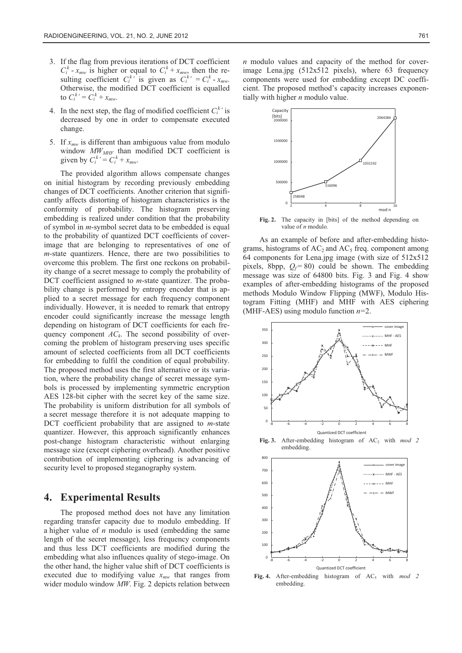- 3. If the flag from previous iterations of DCT coefficient  $C_i^k$  - *x<sub>mw</sub>* is higher or equal to  $C_i^k$  + *x<sub>mw*</sub>, then the resulting coefficient  $C_i^{k'}$  is given as  $C_i^{k'} = C_i^k - x_{mw}$ . Otherwise, the modified DCT coefficient is equalled to  $C_i^k = C_i^k + x_{mw}$ .
- 4. In the next step, the flag of modified coefficient  $C_i^k$  is decreased by one in order to compensate executed change.
- 5. If  $x_{mw}$  is different than ambiguous value from modulo window  $MW_{MHF}$  than modified DCT coefficient is given by  $C_i^k = C_i^k + x_{mw}$ .

The provided algorithm allows compensate changes on initial histogram by recording previously embedding changes of DCT coefficients. Another criterion that significantly affects distorting of histogram characteristics is the conformity of probability. The histogram preserving embedding is realized under condition that the probability of symbol in *m*-symbol secret data to be embedded is equal to the probability of quantized DCT coefficients of coverimage that are belonging to representatives of one of *m*-state quantizers. Hence, there are two possibilities to overcome this problem. The first one reckons on probability change of a secret message to comply the probability of DCT coefficient assigned to *m*-state quantizer. The probability change is performed by entropy encoder that is applied to a secret message for each frequency component individually. However, it is needed to remark that entropy encoder could significantly increase the message length depending on histogram of DCT coefficients for each frequency component  $AC_k$ . The second possibility of overcoming the problem of histogram preserving uses specific amount of selected coefficients from all DCT coefficients for embedding to fulfil the condition of equal probability. The proposed method uses the first alternative or its variation, where the probability change of secret message symbols is processed by implementing symmetric encryption AES 128-bit cipher with the secret key of the same size. The probability is uniform distribution for all symbols of a secret message therefore it is not adequate mapping to DCT coefficient probability that are assigned to *m*-state quantizer. However, this approach significantly enhances post-change histogram characteristic without enlarging message size (except ciphering overhead). Another positive contribution of implementing ciphering is advancing of security level to proposed steganography system.

#### **4. Experimental Results**

The proposed method does not have any limitation regarding transfer capacity due to modulo embedding. If a higher value of *n* modulo is used (embedding the same length of the secret message), less frequency components and thus less DCT coefficients are modified during the embedding what also influences quality of stego-image. On the other hand, the higher value shift of DCT coefficients is executed due to modifying value  $x_{mw}$  that ranges from wider modulo window *MW*. Fig. 2 depicts relation between

*n* modulo values and capacity of the method for coverimage Lena.jpg (512x512 pixels), where 63 frequency components were used for embedding except DC coefficient. The proposed method's capacity increases exponentially with higher *n* modulo value.



**Fig. 2.** The capacity in [bits] of the method depending on value of *n* modulo.

As an example of before and after-embedding histograms, histograms of  $AC_2$  and  $AC_5$  freq. component among 64 components for Lena.jpg image (with size of 512x512 pixels, 8bpp,  $Q_f$  = 80) could be shown. The embedding message was size of 64800 bits. Fig. 3 and Fig. 4 show examples of after-embedding histograms of the proposed methods Modulo Window Flipping (MWF), Modulo Histogram Fitting (MHF) and MHF with AES ciphering (MHF-AES) using modulo function *n=*2.





**Fig. 4.** After-embedding histogram of AC5 with *mod 2* embedding.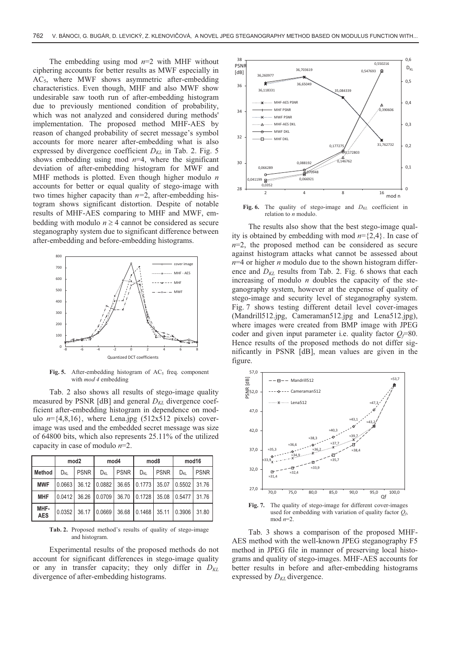The embedding using mod *n*=2 with MHF without ciphering accounts for better results as MWF especially in AC5, where MWF shows asymmetric after-embedding characteristics. Even though, MHF and also MWF show undesirable saw tooth run of after-embedding histogram due to previously mentioned condition of probability, which was not analyzed and considered during methods' implementation. The proposed method MHF-AES by reason of changed probability of secret message's symbol accounts for more nearer after-embedding what is also expressed by divergence coefficient  $D_{KL}$  in Tab. 2. Fig. 5 shows embedding using mod  $n=4$ , where the significant deviation of after-embedding histogram for MWF and MHF methods is plotted. Even though higher modulo *n* accounts for better or equal quality of stego-image with two times higher capacity than *n=*2, after-embedding histogram shows significant distortion. Despite of notable results of MHF-AES comparing to MHF and MWF, embedding with modulo  $n \geq 4$  cannot be considered as secure steganography system due to significant difference between after-embedding and before-embedding histograms.



**Fig. 5.** After-embedding histogram of  $AC<sub>5</sub>$  freq. component with *mod 4* embedding

Tab. 2 also shows all results of stego-image quality measured by PSNR  $[dB]$  and general  $D_{KL}$  divergence coefficient after-embedding histogram in dependence on modulo  $n = \{4,8,16\}$ , where Lena.jpg (512x512 pixels) coverimage was used and the embedded secret message was size of 64800 bits, which also represents 25.11% of the utilized capacity in case of modulo *n*=2.

|                    | mod <sub>2</sub> |             | mod4            |             | mod <sub>8</sub> |             | mod <sub>16</sub> |             |
|--------------------|------------------|-------------|-----------------|-------------|------------------|-------------|-------------------|-------------|
| Method             | D <sub>KL</sub>  | <b>PSNR</b> | $D_{\text{KL}}$ | <b>PSNR</b> | $D_{\text{KL}}$  | <b>PSNR</b> | D <sub>KL</sub>   | <b>PSNR</b> |
| <b>MWF</b>         | 0.0663           |             | 36.12 0.0882    | 36.65       | 0.1773           | 35.07       | 0.5502            | 31.76       |
| <b>MHF</b>         | 0.0412           |             | 36.26 0.0709    | 36.70       | 0.1728           | 35.08       | 0.5477            | 31.76       |
| MHF-<br><b>AES</b> | 0.0352           | 36.17       | 0.0669          | 36.68       | 0.1468           | 35.11       | 0.3906            | 31.80       |

**Tab. 2.** Proposed method's results of quality of stego-image and histogram.

Experimental results of the proposed methods do not account for significant differences in stego-image quality or any in transfer capacity; they only differ in  $D_{KL}$ divergence of after-embedding histograms.



Fig. 6. The quality of stego-image and  $D_{KL}$  coefficient in relation to *n* modulo.

The results also show that the best stego-image quality is obtained by embedding with mod *n*={2,4}. In case of  $n=2$ , the proposed method can be considered as secure against histogram attacks what cannot be assessed about *n*=4 or higher *n* modulo due to the shown histogram difference and  $D_{KL}$  results from Tab. 2. Fig. 6 shows that each increasing of modulo *n* doubles the capacity of the steganography system, however at the expense of quality of stego-image and security level of steganography system. Fig. 7 shows testing different detail level cover-images (Mandrill512.jpg, Cameraman512.jpg and Lena512.jpg), where images were created from BMP image with JPEG coder and given input parameter i.e. quality factor  $Q_f$ =80. Hence results of the proposed methods do not differ significantly in PSNR [dB], mean values are given in the figure.



**Fig. 7.** The quality of stego-image for different cover-images used for embedding with variation of quality factor  $Q_f$ , mod *n*=2.

Tab. 3 shows a comparison of the proposed MHF-AES method with the well-known JPEG steganography F5 method in JPEG file in manner of preserving local histograms and quality of stego-images. MHF-AES accounts for better results in before and after-embedding histograms expressed by  $D_{KL}$  divergence.